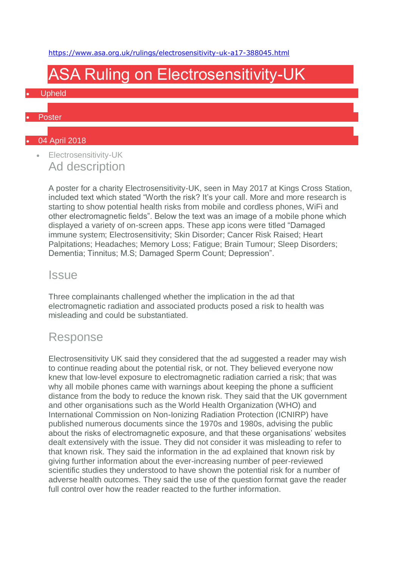<https://www.asa.org.uk/rulings/electrosensitivity-uk-a17-388045.html>

# ASA Ruling on Electrosensitivity-UK

#### • Upheld

#### **Poster**

### • 04 April 2018

• Electrosensitivity-UK Ad description

> A poster for a charity Electrosensitivity-UK, seen in May 2017 at Kings Cross Station, included text which stated "Worth the risk? It's your call. More and more research is starting to show potential health risks from mobile and cordless phones, WiFi and other electromagnetic fields". Below the text was an image of a mobile phone which displayed a variety of on-screen apps. These app icons were titled "Damaged immune system; Electrosensitivity; Skin Disorder; Cancer Risk Raised; Heart Palpitations; Headaches; Memory Loss; Fatigue; Brain Tumour; Sleep Disorders; Dementia; Tinnitus; M.S; Damaged Sperm Count; Depression".

### **Issue**

Three complainants challenged whether the implication in the ad that electromagnetic radiation and associated products posed a risk to health was misleading and could be substantiated.

### Response

Electrosensitivity UK said they considered that the ad suggested a reader may wish to continue reading about the potential risk, or not. They believed everyone now knew that low-level exposure to electromagnetic radiation carried a risk; that was why all mobile phones came with warnings about keeping the phone a sufficient distance from the body to reduce the known risk. They said that the UK government and other organisations such as the World Health Organization (WHO) and International Commission on Non-Ionizing Radiation Protection (ICNIRP) have published numerous documents since the 1970s and 1980s, advising the public about the risks of electromagnetic exposure, and that these organisations' websites dealt extensively with the issue. They did not consider it was misleading to refer to that known risk. They said the information in the ad explained that known risk by giving further information about the ever-increasing number of peer-reviewed scientific studies they understood to have shown the potential risk for a number of adverse health outcomes. They said the use of the question format gave the reader full control over how the reader reacted to the further information.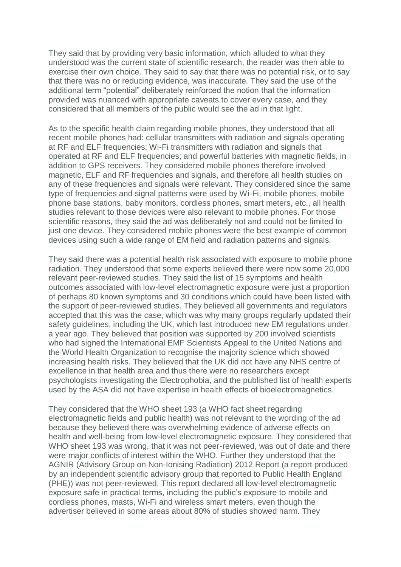They said that by providing very basic information, which alluded to what they understood was the current state of scientific research, the reader was then able to exercise their own choice. They said to say that there was no potential risk, or to say that there was no or reducing evidence, was inaccurate. They said the use of the additional term "potential" deliberately reinforced the notion that the information provided was nuanced with appropriate caveats to cover every case, and they considered that all members of the public would see the ad in that light.

As to the specific health claim regarding mobile phones, they understood that all recent mobile phones had: cellular transmitters with radiation and signals operating at RF and ELF frequencies; Wi-Fi transmitters with radiation and signals that operated at RF and ELF frequencies; and powerful batteries with magnetic fields, in addition to GPS receivers. They considered mobile phones therefore involved magnetic, ELF and RF frequencies and signals, and therefore all health studies on any of these frequencies and signals were relevant. They considered since the same type of frequencies and signal patterns were used by Wi-Fi, mobile phones, mobile phone base stations, baby monitors, cordless phones, smart meters, etc., all health studies relevant to those devices were also relevant to mobile phones. For those scientific reasons, they said the ad was deliberately not and could not be limited to just one device. They considered mobile phones were the best example of common devices using such a wide range of EM field and radiation patterns and signals.

They said there was a potential health risk associated with exposure to mobile phone radiation. They understood that some experts believed there were now some 20,000 relevant peer-reviewed studies. They said the list of 15 symptoms and health outcomes associated with low-level electromagnetic exposure were just a proportion of perhaps 80 known symptoms and 30 conditions which could have been listed with the support of peer-reviewed studies. They believed all governments and regulators accepted that this was the case, which was why many groups regularly updated their safety guidelines, including the UK, which last introduced new EM regulations under a year ago. They believed that position was supported by 200 involved scientists who had signed the International EMF Scientists Appeal to the United Nations and the World Health Organization to recognise the majority science which showed increasing health risks. They believed that the UK did not have any NHS centre of excellence in that health area and thus there were no researchers except psychologists investigating the Electrophobia, and the published list of health experts used by the ASA did not have expertise in health effects of bioelectromagnetics.

They considered that the WHO sheet 193 (a WHO fact sheet regarding electromagnetic fields and public health) was not relevant to the wording of the ad because they believed there was overwhelming evidence of adverse effects on health and well-being from low-level electromagnetic exposure. They considered that WHO sheet 193 was wrong, that it was not peer-reviewed, was out of date and there were major conflicts of interest within the WHO. Further they understood that the AGNIR (Advisory Group on Non-Ionising Radiation) 2012 Report (a report produced by an independent scientific advisory group that reported to Public Health England (PHE)) was not peer-reviewed. This report declared all low-level electromagnetic exposure safe in practical terms, including the public's exposure to mobile and cordless phones, masts, Wi-Fi and wireless smart meters, even though the advertiser believed in some areas about 80% of studies showed harm. They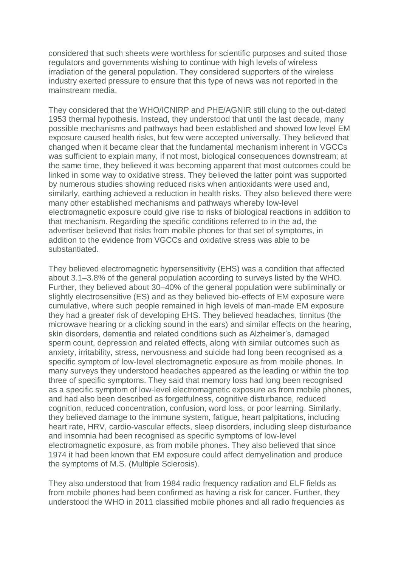considered that such sheets were worthless for scientific purposes and suited those regulators and governments wishing to continue with high levels of wireless irradiation of the general population. They considered supporters of the wireless industry exerted pressure to ensure that this type of news was not reported in the mainstream media.

They considered that the WHO/ICNIRP and PHE/AGNIR still clung to the out-dated 1953 thermal hypothesis. Instead, they understood that until the last decade, many possible mechanisms and pathways had been established and showed low level EM exposure caused health risks, but few were accepted universally. They believed that changed when it became clear that the fundamental mechanism inherent in VGCCs was sufficient to explain many, if not most, biological consequences downstream; at the same time, they believed it was becoming apparent that most outcomes could be linked in some way to oxidative stress. They believed the latter point was supported by numerous studies showing reduced risks when antioxidants were used and, similarly, earthing achieved a reduction in health risks. They also believed there were many other established mechanisms and pathways whereby low-level electromagnetic exposure could give rise to risks of biological reactions in addition to that mechanism. Regarding the specific conditions referred to in the ad, the advertiser believed that risks from mobile phones for that set of symptoms, in addition to the evidence from VGCCs and oxidative stress was able to be substantiated.

They believed electromagnetic hypersensitivity (EHS) was a condition that affected about 3.1–3.8% of the general population according to surveys listed by the WHO. Further, they believed about 30–40% of the general population were subliminally or slightly electrosensitive (ES) and as they believed bio-effects of EM exposure were cumulative, where such people remained in high levels of man-made EM exposure they had a greater risk of developing EHS. They believed headaches, tinnitus (the microwave hearing or a clicking sound in the ears) and similar effects on the hearing, skin disorders, dementia and related conditions such as Alzheimer's, damaged sperm count, depression and related effects, along with similar outcomes such as anxiety, irritability, stress, nervousness and suicide had long been recognised as a specific symptom of low-level electromagnetic exposure as from mobile phones. In many surveys they understood headaches appeared as the leading or within the top three of specific symptoms. They said that memory loss had long been recognised as a specific symptom of low-level electromagnetic exposure as from mobile phones, and had also been described as forgetfulness, cognitive disturbance, reduced cognition, reduced concentration, confusion, word loss, or poor learning. Similarly, they believed damage to the immune system, fatigue, heart palpitations, including heart rate, HRV, cardio-vascular effects, sleep disorders, including sleep disturbance and insomnia had been recognised as specific symptoms of low-level electromagnetic exposure, as from mobile phones. They also believed that since 1974 it had been known that EM exposure could affect demyelination and produce the symptoms of M.S. (Multiple Sclerosis).

They also understood that from 1984 radio frequency radiation and ELF fields as from mobile phones had been confirmed as having a risk for cancer. Further, they understood the WHO in 2011 classified mobile phones and all radio frequencies as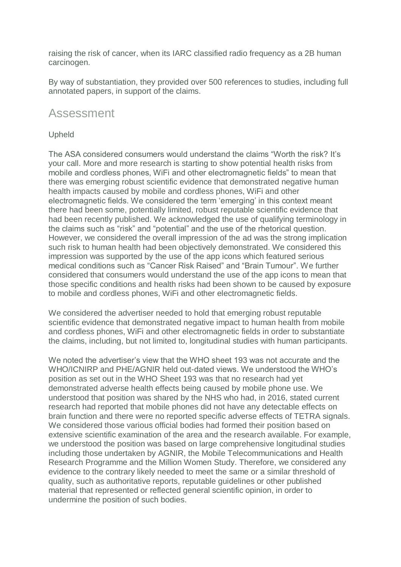raising the risk of cancer, when its IARC classified radio frequency as a 2B human carcinogen.

By way of substantiation, they provided over 500 references to studies, including full annotated papers, in support of the claims.

### Assessment

#### Upheld

The ASA considered consumers would understand the claims "Worth the risk? It's your call. More and more research is starting to show potential health risks from mobile and cordless phones, WiFi and other electromagnetic fields" to mean that there was emerging robust scientific evidence that demonstrated negative human health impacts caused by mobile and cordless phones, WiFi and other electromagnetic fields. We considered the term 'emerging' in this context meant there had been some, potentially limited, robust reputable scientific evidence that had been recently published. We acknowledged the use of qualifying terminology in the claims such as "risk" and "potential" and the use of the rhetorical question. However, we considered the overall impression of the ad was the strong implication such risk to human health had been objectively demonstrated. We considered this impression was supported by the use of the app icons which featured serious medical conditions such as "Cancer Risk Raised" and "Brain Tumour". We further considered that consumers would understand the use of the app icons to mean that those specific conditions and health risks had been shown to be caused by exposure to mobile and cordless phones, WiFi and other electromagnetic fields.

We considered the advertiser needed to hold that emerging robust reputable scientific evidence that demonstrated negative impact to human health from mobile and cordless phones, WiFi and other electromagnetic fields in order to substantiate the claims, including, but not limited to, longitudinal studies with human participants.

We noted the advertiser's view that the WHO sheet 193 was not accurate and the WHO/ICNIRP and PHE/AGNIR held out-dated views. We understood the WHO's position as set out in the WHO Sheet 193 was that no research had yet demonstrated adverse health effects being caused by mobile phone use. We understood that position was shared by the NHS who had, in 2016, stated current research had reported that mobile phones did not have any detectable effects on brain function and there were no reported specific adverse effects of TETRA signals. We considered those various official bodies had formed their position based on extensive scientific examination of the area and the research available. For example, we understood the position was based on large comprehensive longitudinal studies including those undertaken by AGNIR, the Mobile Telecommunications and Health Research Programme and the Million Women Study. Therefore, we considered any evidence to the contrary likely needed to meet the same or a similar threshold of quality, such as authoritative reports, reputable guidelines or other published material that represented or reflected general scientific opinion, in order to undermine the position of such bodies.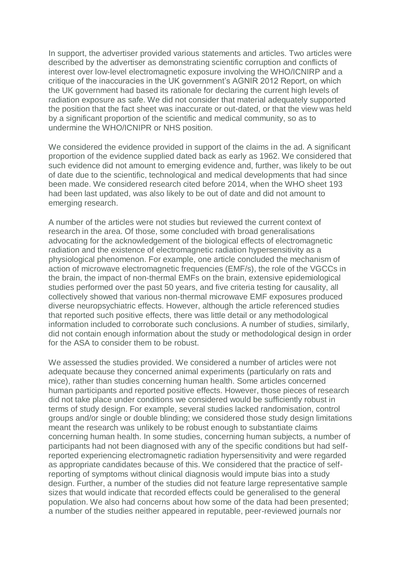In support, the advertiser provided various statements and articles. Two articles were described by the advertiser as demonstrating scientific corruption and conflicts of interest over low-level electromagnetic exposure involving the WHO/ICNIRP and a critique of the inaccuracies in the UK government's AGNIR 2012 Report, on which the UK government had based its rationale for declaring the current high levels of radiation exposure as safe. We did not consider that material adequately supported the position that the fact sheet was inaccurate or out-dated, or that the view was held by a significant proportion of the scientific and medical community, so as to undermine the WHO/ICNIPR or NHS position.

We considered the evidence provided in support of the claims in the ad. A significant proportion of the evidence supplied dated back as early as 1962. We considered that such evidence did not amount to emerging evidence and, further, was likely to be out of date due to the scientific, technological and medical developments that had since been made. We considered research cited before 2014, when the WHO sheet 193 had been last updated, was also likely to be out of date and did not amount to emerging research.

A number of the articles were not studies but reviewed the current context of research in the area. Of those, some concluded with broad generalisations advocating for the acknowledgement of the biological effects of electromagnetic radiation and the existence of electromagnetic radiation hypersensitivity as a physiological phenomenon. For example, one article concluded the mechanism of action of microwave electromagnetic frequencies (EMF/s), the role of the VGCCs in the brain, the impact of non-thermal EMFs on the brain, extensive epidemiological studies performed over the past 50 years, and five criteria testing for causality, all collectively showed that various non-thermal microwave EMF exposures produced diverse neuropsychiatric effects. However, although the article referenced studies that reported such positive effects, there was little detail or any methodological information included to corroborate such conclusions. A number of studies, similarly, did not contain enough information about the study or methodological design in order for the ASA to consider them to be robust.

We assessed the studies provided. We considered a number of articles were not adequate because they concerned animal experiments (particularly on rats and mice), rather than studies concerning human health. Some articles concerned human participants and reported positive effects. However, those pieces of research did not take place under conditions we considered would be sufficiently robust in terms of study design. For example, several studies lacked randomisation, control groups and/or single or double blinding; we considered those study design limitations meant the research was unlikely to be robust enough to substantiate claims concerning human health. In some studies, concerning human subjects, a number of participants had not been diagnosed with any of the specific conditions but had selfreported experiencing electromagnetic radiation hypersensitivity and were regarded as appropriate candidates because of this. We considered that the practice of selfreporting of symptoms without clinical diagnosis would impute bias into a study design. Further, a number of the studies did not feature large representative sample sizes that would indicate that recorded effects could be generalised to the general population. We also had concerns about how some of the data had been presented; a number of the studies neither appeared in reputable, peer-reviewed journals nor